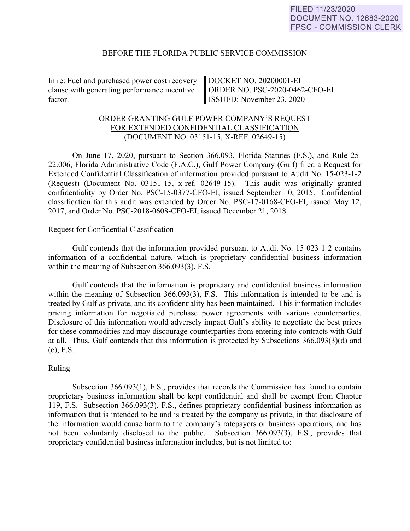### BEFORE THE FLORIDA PUBLIC SERVICE COMMISSION

In re: Fuel and purchased power cost recovery clause with generating performance incentive factor.

DOCKET NO. 20200001-EI ORDER NO. PSC-2020-0462-CFO-EI ISSUED: November 23, 2020

# ORDER GRANTING GULF POWER COMPANY'S REQUEST FOR EXTENDED CONFIDENTIAL CLASSIFICATION (DOCUMENT NO. 03151-15, X-REF. 02649-15)

 On June 17, 2020, pursuant to Section 366.093, Florida Statutes (F.S.), and Rule 25- 22.006, Florida Administrative Code (F.A.C.), Gulf Power Company (Gulf) filed a Request for Extended Confidential Classification of information provided pursuant to Audit No. 15-023-1-2 (Request) (Document No. 03151-15, x-ref. 02649-15). This audit was originally granted confidentiality by Order No. PSC-15-0377-CFO-EI, issued September 10, 2015. Confidential classification for this audit was extended by Order No. PSC-17-0168-CFO-EI, issued May 12, 2017, and Order No. PSC-2018-0608-CFO-EI, issued December 21, 2018.

### Request for Confidential Classification

 Gulf contends that the information provided pursuant to Audit No. 15-023-1-2 contains information of a confidential nature, which is proprietary confidential business information within the meaning of Subsection 366.093(3), F.S.

Gulf contends that the information is proprietary and confidential business information within the meaning of Subsection 366.093(3), F.S. This information is intended to be and is treated by Gulf as private, and its confidentiality has been maintained. This information includes pricing information for negotiated purchase power agreements with various counterparties. Disclosure of this information would adversely impact Gulf's ability to negotiate the best prices for these commodities and may discourage counterparties from entering into contracts with Gulf at all. Thus, Gulf contends that this information is protected by Subsections 366.093(3)(d) and (e), F.S.

## Ruling

Subsection 366.093(1), F.S., provides that records the Commission has found to contain proprietary business information shall be kept confidential and shall be exempt from Chapter 119, F.S. Subsection 366.093(3), F.S., defines proprietary confidential business information as information that is intended to be and is treated by the company as private, in that disclosure of the information would cause harm to the company's ratepayers or business operations, and has not been voluntarily disclosed to the public. Subsection 366.093(3), F.S., provides that proprietary confidential business information includes, but is not limited to: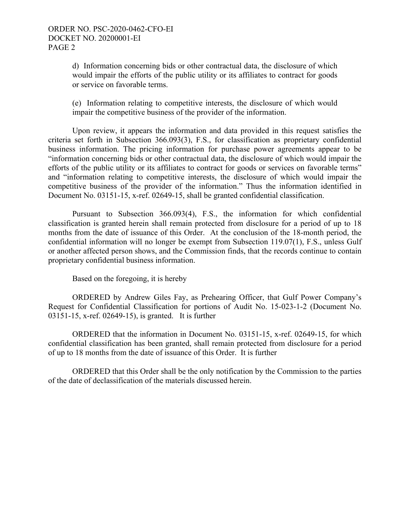d) Information concerning bids or other contractual data, the disclosure of which would impair the efforts of the public utility or its affiliates to contract for goods or service on favorable terms.

(e) Information relating to competitive interests, the disclosure of which would impair the competitive business of the provider of the information.

Upon review, it appears the information and data provided in this request satisfies the criteria set forth in Subsection 366.093(3), F.S., for classification as proprietary confidential business information. The pricing information for purchase power agreements appear to be "information concerning bids or other contractual data, the disclosure of which would impair the efforts of the public utility or its affiliates to contract for goods or services on favorable terms" and "information relating to competitive interests, the disclosure of which would impair the competitive business of the provider of the information." Thus the information identified in Document No. 03151-15, x-ref. 02649-15, shall be granted confidential classification.

Pursuant to Subsection 366.093(4), F.S., the information for which confidential classification is granted herein shall remain protected from disclosure for a period of up to 18 months from the date of issuance of this Order. At the conclusion of the 18-month period, the confidential information will no longer be exempt from Subsection 119.07(1), F.S., unless Gulf or another affected person shows, and the Commission finds, that the records continue to contain proprietary confidential business information.

Based on the foregoing, it is hereby

 ORDERED by Andrew Giles Fay, as Prehearing Officer, that Gulf Power Company's Request for Confidential Classification for portions of Audit No. 15-023-1-2 (Document No. 03151-15, x-ref. 02649-15), is granted. It is further

 ORDERED that the information in Document No. 03151-15, x-ref. 02649-15, for which confidential classification has been granted, shall remain protected from disclosure for a period of up to 18 months from the date of issuance of this Order. It is further

 ORDERED that this Order shall be the only notification by the Commission to the parties of the date of declassification of the materials discussed herein.